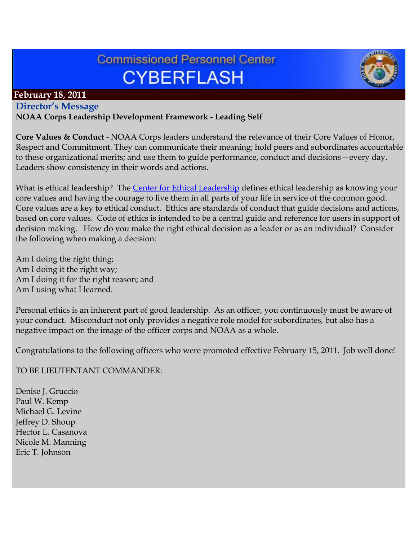# **Commissioned Personnel Center CYBERFLASH**



## **February 18, 2011**

# **Director's Message**

#### **NOAA Corps Leadership Development Framework - Leading Self**

**Core Values & Conduct** - NOAA Corps leaders understand the relevance of their Core Values of Honor, Respect and Commitment. They can communicate their meaning; hold peers and subordinates accountable to these organizational merits; and use them to guide performance, conduct and decisions—every day. Leaders show consistency in their words and actions.

What is ethical leadership? The [Center for Ethical Leadership](http://www.ethicalleadership.org/) defines ethical leadership as knowing your core values and having the courage to live them in all parts of your life in service of the common good. Core values are a key to ethical conduct. Ethics are standards of conduct that guide decisions and actions, based on core values. Code of ethics is intended to be a central guide and reference for users in support of decision making. How do you make the right ethical decision as a leader or as an individual? Consider the following when making a decision:

Am I doing the right thing; Am I doing it the right way; Am I doing it for the right reason; and Am I using what I learned.

Personal ethics is an inherent part of good leadership. As an officer, you continuously must be aware of your conduct. Misconduct not only provides a negative role model for subordinates, but also has a negative impact on the image of the officer corps and NOAA as a whole.

Congratulations to the following officers who were promoted effective February 15, 2011. Job well done!

TO BE LIEUTENTANT COMMANDER:

Denise J. Gruccio Paul W. Kemp Michael G. Levine Jeffrey D. Shoup Hector L. Casanova Nicole M. Manning Eric T. Johnson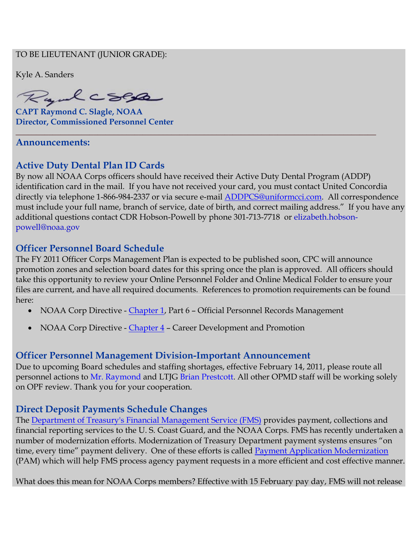#### TO BE LIEUTENANT (JUNIOR GRADE):

Kyle A. Sanders

Ryalcses

**CAPT Raymond C. Slagle, NOAA Director, Commissioned Personnel Center**

#### **Announcements:**

## **Active Duty Dental Plan ID Cards**

By now all NOAA Corps officers should have received their Active Duty Dental Program (ADDP) identification card in the mail. If you have not received your card, you must contact United Concordia directly via telephone 1-866-984-2337 or via secure e-mail [ADDPCS@uniformcci.com.](mailto:ADDPCS@uniformcci.com) All correspondence must include your full name, branch of service, date of birth, and correct mailing address." If you have any additional questions contact CDR Hobson-Powell by phone 301-713-7718 or [elizabeth.hobson](mailto:elizabeth.hobson-powell@noaa.gov)[powell@noaa.gov](mailto:elizabeth.hobson-powell@noaa.gov)

**\_\_\_\_\_\_\_\_\_\_\_\_\_\_\_\_\_\_\_\_\_\_\_\_\_\_\_\_\_\_\_\_\_\_\_\_\_\_\_\_\_\_\_\_\_\_\_\_\_\_\_\_\_\_\_\_\_\_\_\_\_\_\_\_\_\_\_\_\_\_\_\_\_\_\_\_\_\_\_\_\_\_\_\_\_\_\_\_**

#### **Officer Personnel Board Schedule**

The FY 2011 Officer Corps Management Plan is expected to be published soon, CPC will announce promotion zones and selection board dates for this spring once the plan is approved. All officers should take this opportunity to review your Online Personnel Folder and Online Medical Folder to ensure your files are current, and have all required documents. References to promotion requirements can be found here:

- NOAA Corp Directive [Chapter 1,](http://www.corpscpc.noaa.gov/procedures/corps_directives/chapter_10/ncd_ch10.pdf) Part 6 Official Personnel Records Management
- NOAA Corp Directive [Chapter 4](http://www.corpscpc.noaa.gov/procedures/corps_directives/chapter_4/ncd_ch4.pdf) Career Development and Promotion

#### **Officer Personnel Management Division-Important Announcement**

Due to upcoming Board schedules and staffing shortages, effective February 14, 2011, please route all personnel actions to Mr. Raymond and LTJG Brian Prestcott. All other OPMD staff will be working solely on OPF review. Thank you for your cooperation.

#### **Direct Deposit Payments Schedule Changes**

The [Department of Treasury's Financial Management Service \(FMS\)](http://www.fms.treas.gov/kfc/index.html) provides payment, collections and financial reporting services to the U. S. Coast Guard, and the NOAA Corps. FMS has recently undertaken a number of modernization efforts. Modernization of Treasury Department payment systems ensures "on time, every time" payment delivery. One of these efforts is called [Payment Application Modernization](http://www.fms.treas.gov/pam/index.html) (PAM) which will help FMS process agency payment requests in a more efficient and cost effective manner.

What does this mean for NOAA Corps members? Effective with 15 February pay day, FMS will not release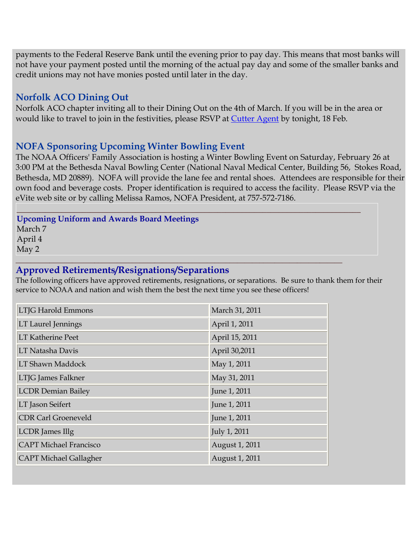payments to the Federal Reserve Bank until the evening prior to pay day. This means that most banks will not have your payment posted until the morning of the actual pay day and some of the smaller banks and credit unions may not have monies posted until later in the day.

# **Norfolk ACO Dining Out**

Norfolk ACO chapter inviting all to their Dining Out on the 4th of March. If you will be in the area or would like to travel to join in the festivities, please RSVP at [Cutter Agent](http://www.cutteragent.com/acova-diningout2011) by tonight, 18 Feb.

## **NOFA Sponsoring Upcoming Winter Bowling Event**

The NOAA Officers' Family Association is hosting a Winter Bowling Event on Saturday, February 26 at 3:00 PM at the Bethesda Naval Bowling Center (National Naval Medical Center, Building 56, Stokes Road, Bethesda, MD 20889). NOFA will provide the lane fee and rental shoes. Attendees are responsible for their own food and beverage costs. Proper identification is required to access the facility. Please RSVP via the eVite web site or by calling Melissa Ramos, NOFA President, at 757-572-7186.

#### **Upcoming Uniform and Awards Board Meetings** March 7 April 4 May 2

#### **Approved Retirements/Resignations/Separations**

The following officers have approved retirements, resignations, or separations. Be sure to thank them for their service to NOAA and nation and wish them the best the next time you see these officers!

**\_\_\_\_\_\_\_\_\_\_\_\_\_\_\_\_\_\_\_\_\_\_\_\_\_\_\_\_\_\_\_\_\_\_\_\_\_\_\_\_\_\_\_\_\_\_\_\_\_\_\_\_\_\_\_\_\_\_\_\_\_\_\_\_\_\_\_\_\_\_\_\_\_\_\_\_\_\_\_\_\_\_\_\_**

**\_\_\_\_\_\_\_\_\_\_\_\_\_\_\_\_\_\_\_\_\_\_\_\_\_\_\_\_\_\_\_\_\_\_\_\_\_\_\_\_\_\_\_\_\_\_\_\_\_\_\_\_\_\_\_\_\_\_\_\_\_\_\_\_\_\_\_\_\_\_\_\_\_\_\_\_\_\_\_\_\_\_\_\_\_\_\_**

| <b>LTJG Harold Emmons</b>     | March 31, 2011 |
|-------------------------------|----------------|
| LT Laurel Jennings            | April 1, 2011  |
| <b>LT Katherine Peet</b>      | April 15, 2011 |
| LT Natasha Davis              | April 30,2011  |
| LT Shawn Maddock              | May 1, 2011    |
| LTJG James Falkner            | May 31, 2011   |
| <b>LCDR</b> Demian Bailey     | June 1, 2011   |
| LT Jason Seifert              | June 1, 2011   |
| <b>CDR Carl Groeneveld</b>    | June 1, 2011   |
| <b>LCDR</b> James Illg        | July 1, 2011   |
| <b>CAPT Michael Francisco</b> | August 1, 2011 |
| <b>CAPT Michael Gallagher</b> | August 1, 2011 |